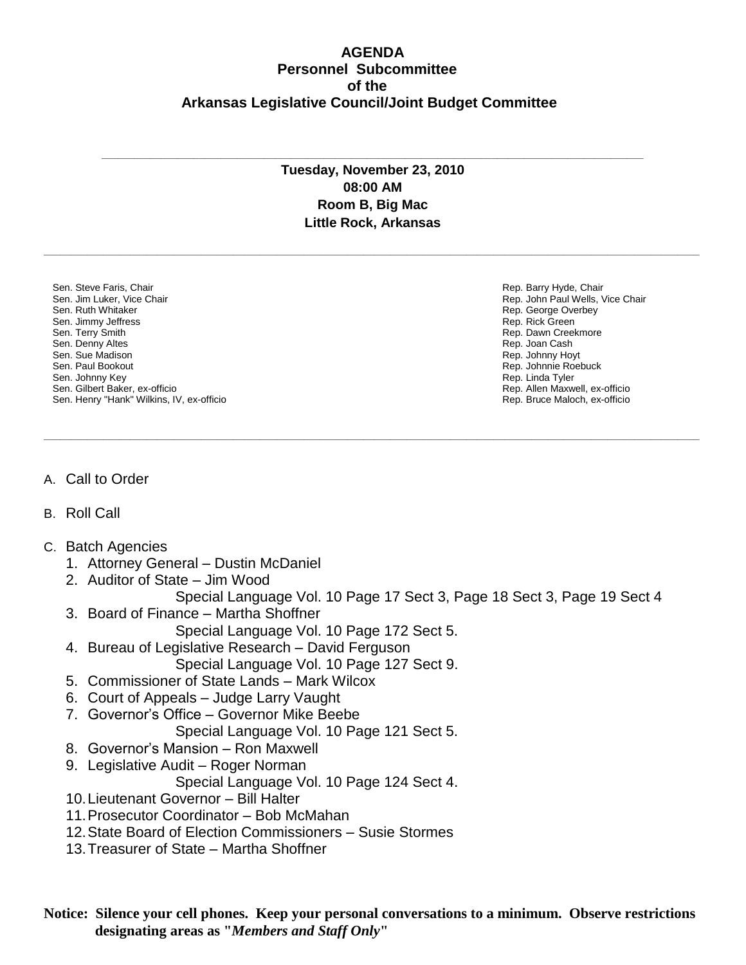## **AGENDA Personnel Subcommittee of the Arkansas Legislative Council/Joint Budget Committee**

## **Tuesday, November 23, 2010 08:00 AM Room B, Big Mac Little Rock, Arkansas**

**\_\_\_\_\_\_\_\_\_\_\_\_\_\_\_\_\_\_\_\_\_\_\_\_\_\_\_\_\_\_\_\_\_\_\_\_\_\_\_\_\_\_\_\_\_\_\_\_\_\_\_\_\_\_\_\_\_\_\_\_\_\_\_\_\_\_\_\_\_\_\_\_\_\_\_\_\_\_\_\_\_\_\_\_\_\_\_\_\_\_\_\_\_\_\_\_\_\_\_\_\_\_\_\_\_\_\_\_\_\_\_\_\_\_\_\_\_\_\_\_\_**

**\_\_\_\_\_\_\_\_\_\_\_\_\_\_\_\_\_\_\_\_\_\_\_\_\_\_\_\_\_\_\_\_\_\_\_\_\_\_\_\_\_\_\_\_\_\_\_\_\_\_\_\_\_\_\_\_\_\_\_\_\_\_\_\_\_\_\_\_\_\_\_\_\_\_\_\_\_\_\_\_\_\_\_\_\_\_\_\_\_\_\_\_\_\_\_\_\_\_\_\_\_\_\_\_\_\_\_\_\_\_\_\_\_\_\_\_\_\_\_\_\_**

**\_\_\_\_\_\_\_\_\_\_\_\_\_\_\_\_\_\_\_\_\_\_\_\_\_\_\_\_\_\_\_\_\_\_\_\_\_\_\_\_\_\_\_\_\_\_\_\_\_\_\_\_\_\_\_\_\_\_\_\_\_\_\_\_\_\_\_\_\_\_\_\_\_\_\_\_\_\_\_\_\_\_\_\_\_\_\_\_\_\_\_\_\_\_\_\_\_\_\_\_**

Sen. Steve Faris, Chair Sen. Jim Luker, Vice Chair Sen. Ruth Whitaker Sen. Jimmy Jeffress Sen. Terry Smith Sen. Denny Altes Sen. Sue Madison Sen. Paul Bookout Sen. Johnny Key Sen. Gilbert Baker, ex-officio Sen. Henry "Hank" Wilkins, IV, ex-officio Rep. Barry Hyde, Chair Rep. John Paul Wells, Vice Chair Rep. George Overbey Rep. Rick Green Rep. Dawn Creekmore Rep. Joan Cash Rep. Johnny Hoyt Rep. Johnnie Roebuck Rep. Linda Tyler Rep. Allen Maxwell, ex-officio Rep. Bruce Maloch, ex-officio

- A. Call to Order
- B. Roll Call
- C. Batch Agencies
	- 1. Attorney General Dustin McDaniel
	- 2. Auditor of State Jim Wood

Special Language Vol. 10 Page 17 Sect 3, Page 18 Sect 3, Page 19 Sect 4

- 3. Board of Finance Martha Shoffner
	- Special Language Vol. 10 Page 172 Sect 5.
- 4. Bureau of Legislative Research David Ferguson
	- Special Language Vol. 10 Page 127 Sect 9.
- 5. Commissioner of State Lands Mark Wilcox
- 6. Court of Appeals Judge Larry Vaught
- 7. Governor's Office Governor Mike Beebe
	- Special Language Vol. 10 Page 121 Sect 5.
- 8. Governor's Mansion Ron Maxwell
- 9. Legislative Audit Roger Norman
	- Special Language Vol. 10 Page 124 Sect 4.
- 10.Lieutenant Governor Bill Halter
- 11.Prosecutor Coordinator Bob McMahan
- 12.State Board of Election Commissioners Susie Stormes
- 13.Treasurer of State Martha Shoffner

**Notice: Silence your cell phones. Keep your personal conversations to a minimum. Observe restrictions designating areas as "***Members and Staff Only***"**